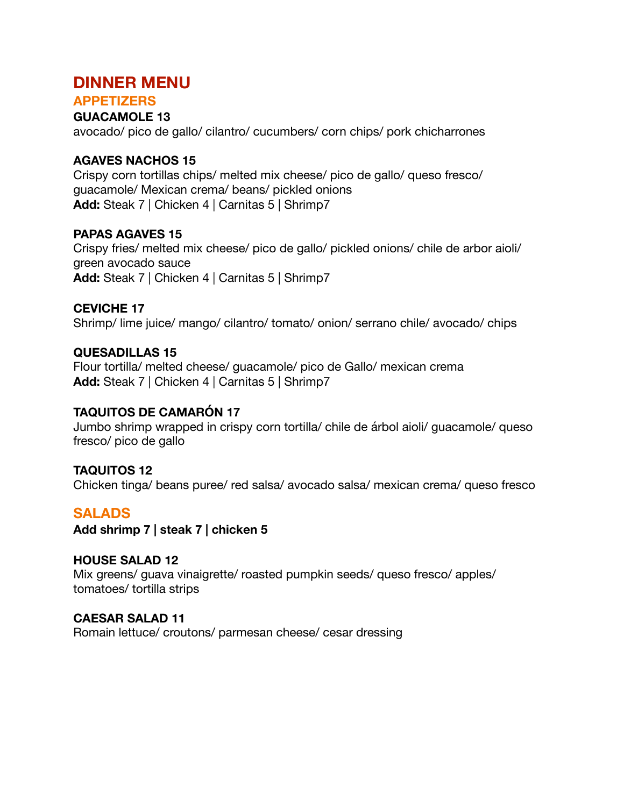## **DINNER MENU**

#### **APPETIZERS GUACAMOLE 13**

avocado/ pico de gallo/ cilantro/ cucumbers/ corn chips/ pork chicharrones

## **AGAVES NACHOS 15**

Crispy corn tortillas chips/ melted mix cheese/ pico de gallo/ queso fresco/ guacamole/ Mexican crema/ beans/ pickled onions **Add:** Steak 7 | Chicken 4 | Carnitas 5 | Shrimp7

## **PAPAS AGAVES 15**

Crispy fries/ melted mix cheese/ pico de gallo/ pickled onions/ chile de arbor aioli/ green avocado sauce **Add:** Steak 7 | Chicken 4 | Carnitas 5 | Shrimp7

## **CEVICHE 17**

Shrimp/ lime juice/ mango/ cilantro/ tomato/ onion/ serrano chile/ avocado/ chips

## **QUESADILLAS 15**

Flour tortilla/ melted cheese/ guacamole/ pico de Gallo/ mexican crema **Add:** Steak 7 | Chicken 4 | Carnitas 5 | Shrimp7

## **TAQUITOS DE CAMARÓN 17**

Jumbo shrimp wrapped in crispy corn tortilla/ chile de árbol aioli/ guacamole/ queso fresco/ pico de gallo

**TAQUITOS 12**  Chicken tinga/ beans puree/ red salsa/ avocado salsa/ mexican crema/ queso fresco

## **SALADS**

**Add shrimp 7 | steak 7 | chicken 5** 

## **HOUSE SALAD 12**

Mix greens/ guava vinaigrette/ roasted pumpkin seeds/ queso fresco/ apples/ tomatoes/ tortilla strips

**CAESAR SALAD 11** 

Romain lettuce/ croutons/ parmesan cheese/ cesar dressing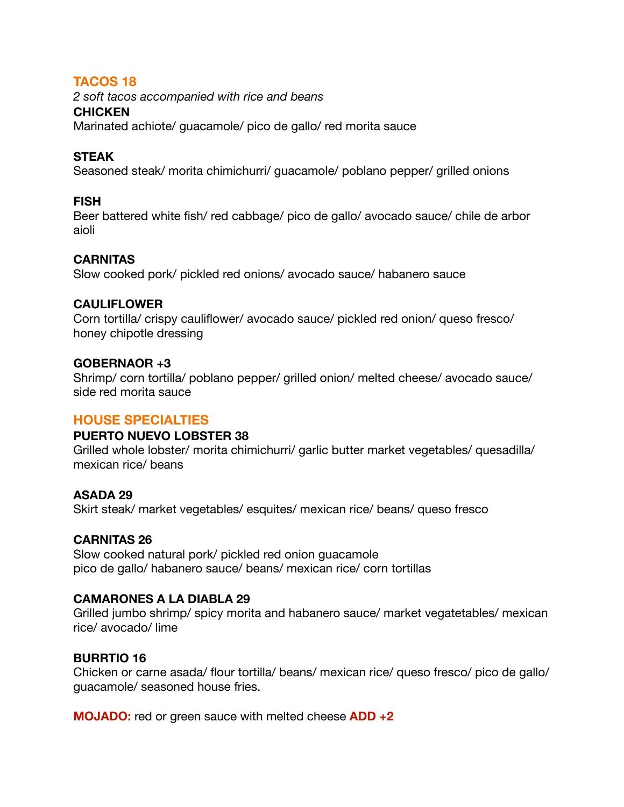## **TACOS 18**

*2 soft tacos accompanied with rice and beans* 

#### **CHICKEN**

Marinated achiote/ guacamole/ pico de gallo/ red morita sauce

## **STEAK**

Seasoned steak/ morita chimichurri/ guacamole/ poblano pepper/ grilled onions

## **FISH**

Beer battered white fish/ red cabbage/ pico de gallo/ avocado sauce/ chile de arbor aioli

## **CARNITAS**

Slow cooked pork/ pickled red onions/ avocado sauce/ habanero sauce

## **CAULIFLOWER**

Corn tortilla/ crispy cauliflower/ avocado sauce/ pickled red onion/ queso fresco/ honey chipotle dressing

## **GOBERNAOR +3**

Shrimp/ corn tortilla/ poblano pepper/ grilled onion/ melted cheese/ avocado sauce/ side red morita sauce

## **HOUSE SPECIALTIES**

## **PUERTO NUEVO LOBSTER 38**

Grilled whole lobster/ morita chimichurri/ garlic butter market vegetables/ quesadilla/ mexican rice/ beans

## **ASADA 29**

Skirt steak/ market vegetables/ esquites/ mexican rice/ beans/ queso fresco

## **CARNITAS 26**

Slow cooked natural pork/ pickled red onion guacamole pico de gallo/ habanero sauce/ beans/ mexican rice/ corn tortillas

## **CAMARONES A LA DIABLA 29**

Grilled jumbo shrimp/ spicy morita and habanero sauce/ market vegatetables/ mexican rice/ avocado/ lime

## **BURRTIO 16**

Chicken or carne asada/ flour tortilla/ beans/ mexican rice/ queso fresco/ pico de gallo/ guacamole/ seasoned house fries.

**MOJADO:** red or green sauce with melted cheese **ADD +2**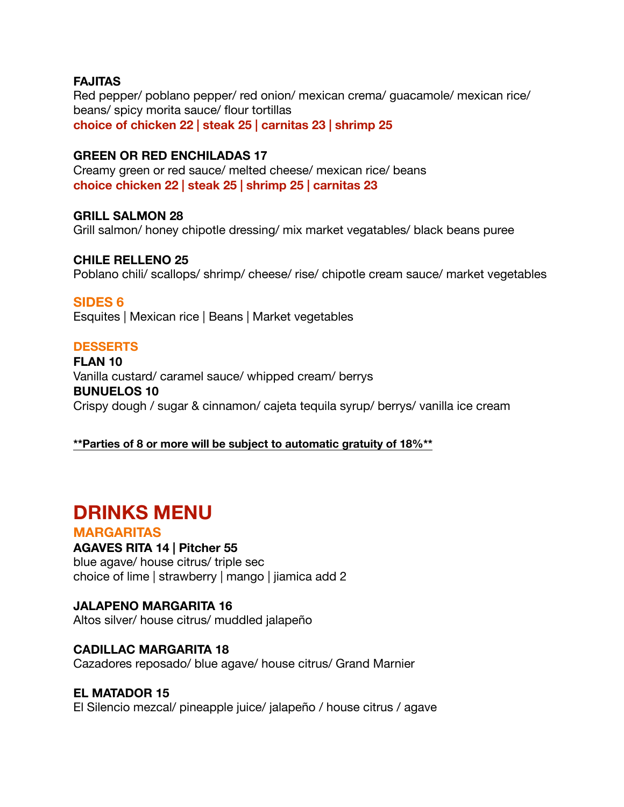#### **FAJITAS**

Red pepper/ poblano pepper/ red onion/ mexican crema/ guacamole/ mexican rice/ beans/ spicy morita sauce/ flour tortillas **choice of chicken 22 | steak 25 | carnitas 23 | shrimp 25** 

## **GREEN OR RED ENCHILADAS 17**

Creamy green or red sauce/ melted cheese/ mexican rice/ beans **choice chicken 22 | steak 25 | shrimp 25 | carnitas 23** 

#### **GRILL SALMON 28**

Grill salmon/ honey chipotle dressing/ mix market vegatables/ black beans puree

#### **CHILE RELLENO 25**

Poblano chili/ scallops/ shrimp/ cheese/ rise/ chipotle cream sauce/ market vegetables

#### **SIDES 6**

Esquites | Mexican rice | Beans | Market vegetables

#### **DESSERTS**

**FLAN 10**  Vanilla custard/ caramel sauce/ whipped cream/ berrys **BUNUELOS 10**  Crispy dough / sugar & cinnamon/ cajeta tequila syrup/ berrys/ vanilla ice cream

#### **\*\*Parties of 8 or more will be subject to automatic gratuity of 18%\*\***

# **DRINKS MENU**

#### **MARGARITAS**

#### **AGAVES RITA 14 | Pitcher 55**

blue agave/ house citrus/ triple sec choice of lime | strawberry | mango | jiamica add 2

#### **JALAPENO MARGARITA 16**

Altos silver/ house citrus/ muddled jalapeño

#### **CADILLAC MARGARITA 18**

Cazadores reposado/ blue agave/ house citrus/ Grand Marnier

#### **EL MATADOR 15**

El Silencio mezcal/ pineapple juice/ jalapeño / house citrus / agave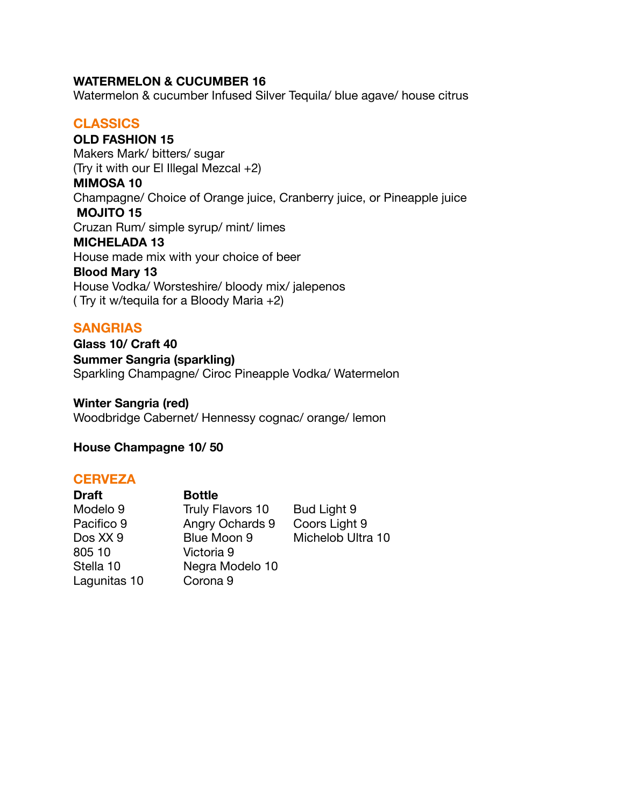#### **WATERMELON & CUCUMBER 16**

Watermelon & cucumber Infused Silver Tequila/ blue agave/ house citrus

## **CLASSICS**

**OLD FASHION 15** Makers Mark/ bitters/ sugar (Try it with our El Illegal Mezcal +2) **MIMOSA 10**  Champagne/ Choice of Orange juice, Cranberry juice, or Pineapple juice  **MOJITO 15**  Cruzan Rum/ simple syrup/ mint/ limes **MICHELADA 13**  House made mix with your choice of beer **Blood Mary 13** House Vodka/ Worsteshire/ bloody mix/ jalepenos ( Try it w/tequila for a Bloody Maria +2)

## **SANGRIAS**

**Glass 10/ Craft 40 Summer Sangria (sparkling)**  Sparkling Champagne/ Ciroc Pineapple Vodka/ Watermelon

**Winter Sangria (red)**  Woodbridge Cabernet/ Hennessy cognac/ orange/ lemon

**House Champagne 10/ 50** 

#### **CERVEZA**

| <b>Draft</b> | <b>Bottle</b>       |                   |
|--------------|---------------------|-------------------|
| Modelo 9     | Truly Flavors 10    | Bud Light 9       |
| Pacifico 9   | Angry Ochards 9     | Coors Light 9     |
| Dos XX 9     | Blue Moon 9         | Michelob Ultra 10 |
| 805 10       | Victoria 9          |                   |
| Stella 10    | Negra Modelo 10     |                   |
| Lagunitas 10 | Corona <sub>9</sub> |                   |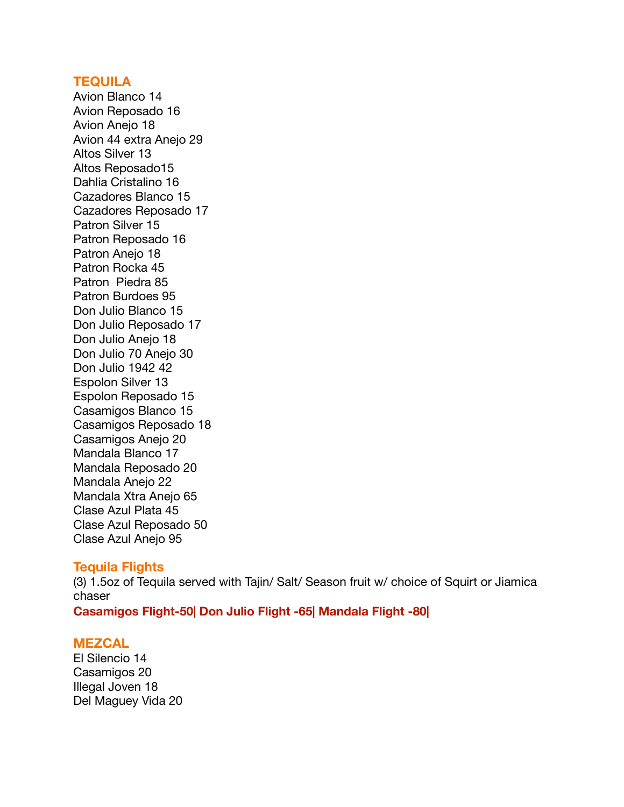#### **TEQUILA**

Avion Blanco 14 Avion Reposado 16 Avion Anejo 18 Avion 44 extra Anejo 29 Altos Silver 13 Altos Reposado15 Dahlia Cristalino 16 Cazadores Blanco 15 Cazadores Reposado 17 Patron Silver 15 Patron Reposado 16 Patron Anejo 18 Patron Rocka 45 Patron Piedra 85 Patron Burdoes 95 Don Julio Blanco 15 Don Julio Reposado 17 Don Julio Anejo 18 Don Julio 70 Anejo 30 Don Julio 1942 42 Espolon Silver 13 Espolon Reposado 15 Casamigos Blanco 15 Casamigos Reposado 18 Casamigos Anejo 20 Mandala Blanco 17 Mandala Reposado 20 Mandala Anejo 22 Mandala Xtra Anejo 65 Clase Azul Plata 45 Clase Azul Reposado 50 Clase Azul Anejo 95

#### **Tequila Flights**

(3) 1.5oz of Tequila served with Tajin/ Salt/ Season fruit w/ choice of Squirt or Jiamica chaser **Casamigos Flight-50| Don Julio Flight -65| Mandala Flight -80|**

#### **MEZCAL**

El Silencio 14 Casamigos 20 Illegal Joven 18 Del Maguey Vida 20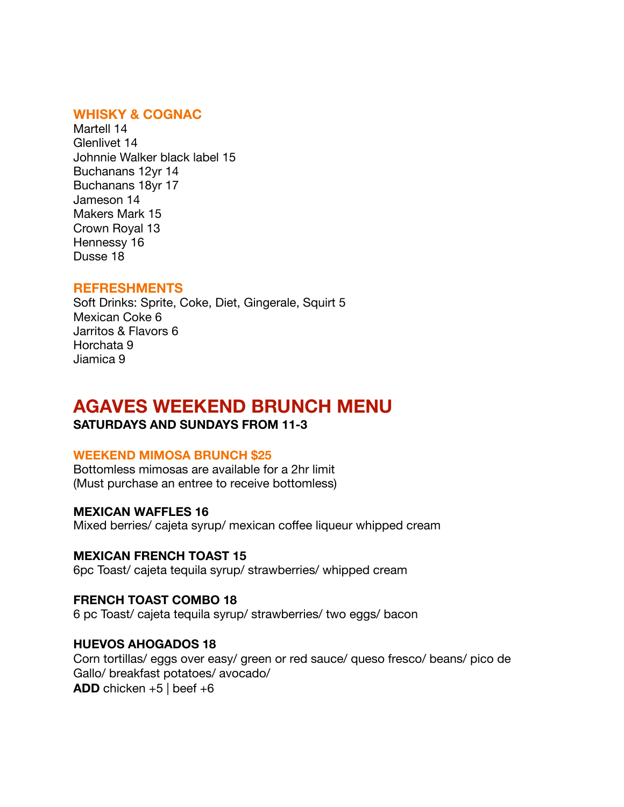## **WHISKY & COGNAC**

Martell 14 Glenlivet 14 Johnnie Walker black label 15 Buchanans 12yr 14 Buchanans 18yr 17 Jameson 14 Makers Mark 15 Crown Royal 13 Hennessy 16 Dusse 18

#### **REFRESHMENTS**

Soft Drinks: Sprite, Coke, Diet, Gingerale, Squirt 5 Mexican Coke 6 Jarritos & Flavors 6 Horchata 9 Jiamica 9

# **AGAVES WEEKEND BRUNCH MENU**

#### **SATURDAYS AND SUNDAYS FROM 11-3**

#### **WEEKEND MIMOSA BRUNCH \$25**

Bottomless mimosas are available for a 2hr limit (Must purchase an entree to receive bottomless)

#### **MEXICAN WAFFLES 16**

Mixed berries/ cajeta syrup/ mexican coffee liqueur whipped cream

#### **MEXICAN FRENCH TOAST 15**

6pc Toast/ cajeta tequila syrup/ strawberries/ whipped cream

#### **FRENCH TOAST COMBO 18**

6 pc Toast/ cajeta tequila syrup/ strawberries/ two eggs/ bacon

#### **HUEVOS AHOGADOS 18**

Corn tortillas/ eggs over easy/ green or red sauce/ queso fresco/ beans/ pico de Gallo/ breakfast potatoes/ avocado/ **ADD** chicken  $+5$  | beef  $+6$